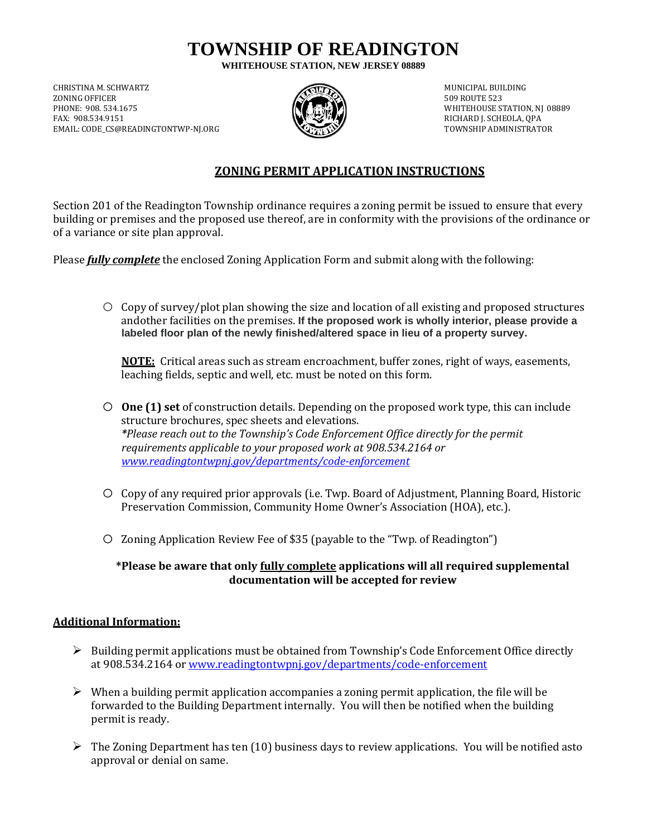# **TOWNSHIP OF READINGTON**

**WHITEHOUSE STATION, NEW JERSEY 08889**

CHRISTINA M. SCHWARTZ ZONING OFFICER PHONE: 908. 534.1675 FAX: 908.534.9151 EMAIL: CODE\_CS@READINGTONTWP-NJ.ORG



MUNICIPAL BUILDING 509 ROUTE 523 WHITEHOUSE STATION, NJ 08889 RICHARD J. SCHEOLA, QPA TOWNSHIP ADMINISTRATOR

### **ZONING PERMIT APPLICATION INSTRUCTIONS**

Section 201 of the Readington Township ordinance requires a zoning permit be issued to ensure that every building or premises and the proposed use thereof, are in conformity with the provisions of the ordinance or of a variance or site plan approval.

Please *fully complete* the enclosed Zoning Application Form and submit along with the following:

 $\circ$  Copy of survey/plot plan showing the size and location of all existing and proposed structures andother facilities on the premises. **If the proposed work is wholly interior, please provide a labeled floor plan of the newly finished/altered space in lieu of a property survey.**

**NOTE:** Critical areas such as stream encroachment, buffer zones, right of ways, easements, leaching fields, septic and well, etc. must be noted on this form.

- o **One (1) set** of construction details. Depending on the proposed work type, this can include structure brochures, spec sheets and elevations. *\*Please reach out to the Township's Code Enforcement Office directly for the permit requirements applicable to your proposed work at 908.534.2164 or [www.readingtontwpnj.gov/departments/code-enforcement](http://www.readingtontwpnj.gov/departments/code-enforcement)*
- o Copy of any required prior approvals (i.e. Twp. Board of Adjustment, Planning Board, Historic Preservation Commission, Community Home Owner's Association (HOA), etc.).
- o Zoning Application Review Fee of \$35 (payable to the "Twp. of Readington")

### **\*Please be aware that only fully complete applications will all required supplemental documentation will be accepted for review**

#### **Additional Information:**

- ➢ Building permit applications must be obtained from Township's Code Enforcement Office directly at 908.534.2164 o[r www.readingtontwpnj.gov/departments/code-enforcement](http://www.readingtontwpnj.gov/departments/code-enforcement)
- $\triangleright$  When a building permit application accompanies a zoning permit application, the file will be forwarded to the Building Department internally. You will then be notified when the building permit is ready.
- $\triangleright$  The Zoning Department has ten (10) business days to review applications. You will be notified asto approval or denial on same.